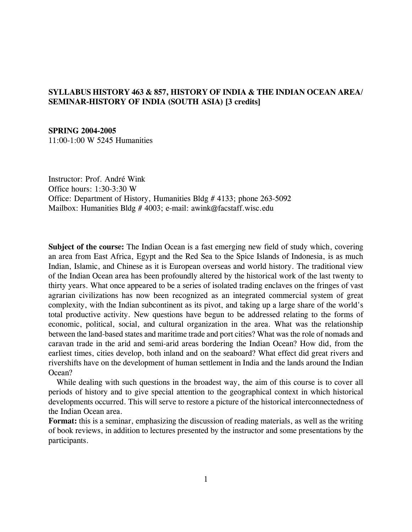## **SYLLABUS HISTORY 463 & 857, HISTORY OF INDIA & THE INDIAN OCEAN AREA/ SEMINAR-HISTORY OF INDIA (SOUTH ASIA) [3 credits]**

#### **SPRING 2004-2005**

11:00-1:00 W 5245 Humanities

Instructor: Prof. André Wink Office hours: 1:30-3:30 W Office: Department of History, Humanities Bldg # 4133; phone 263-5092 Mailbox: Humanities Bldg # 4003; e-mail: awink@facstaff.wisc.edu

**Subject of the course:** The Indian Ocean is a fast emerging new field of study which, covering an area from East Africa, Egypt and the Red Sea to the Spice Islands of Indonesia, is as much Indian, Islamic, and Chinese as it is European overseas and world history. The traditional view of the Indian Ocean area has been profoundly altered by the historical work of the last twenty to thirty years. What once appeared to be a series of isolated trading enclaves on the fringes of vast agrarian civilizations has now been recognized as an integrated commercial system of great complexity, with the Indian subcontinent as its pivot, and taking up a large share of the world's total productive activity. New questions have begun to be addressed relating to the forms of economic, political, social, and cultural organization in the area. What was the relationship between the land-based states and maritime trade and port cities? What was the role of nomads and caravan trade in the arid and semi-arid areas bordering the Indian Ocean? How did, from the earliest times, cities develop, both inland and on the seaboard? What effect did great rivers and rivershifts have on the development of human settlement in India and the lands around the Indian Ocean?

 While dealing with such questions in the broadest way, the aim of this course is to cover all periods of history and to give special attention to the geographical context in which historical developments occurred. This will serve to restore a picture of the historical interconnectedness of the Indian Ocean area.

**Format:** this is a seminar, emphasizing the discussion of reading materials, as well as the writing of book reviews, in addition to lectures presented by the instructor and some presentations by the participants.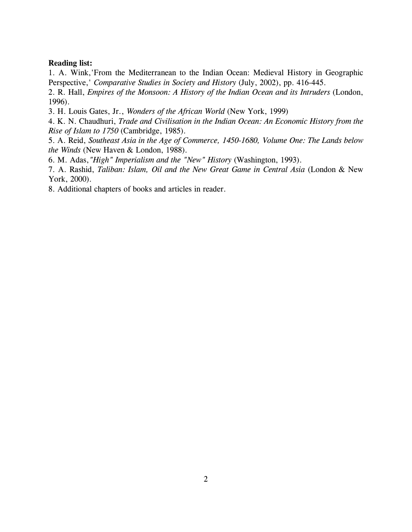#### **Reading list:**

1. A. Wink,'From the Mediterranean to the Indian Ocean: Medieval History in Geographic Perspective,' *Comparative Studies in Society and History* (July, 2002), pp. 416-445.

2. R. Hall, *Empires of the Monsoon: A History of the Indian Ocean and its Intruders* (London, 1996).

3. H. Louis Gates, Jr., *Wonders of the African World* (New York, 1999)

4. K. N. Chaudhuri, *Trade and Civilisation in the Indian Ocean: An Economic History from the Rise of Islam to 1750* (Cambridge, 1985).

5. A. Reid, *Southeast Asia in the Age of Commerce, 1450-1680, Volume One: The Lands below the Winds* (New Haven & London, 1988).

6. M. Adas,*"High" Imperialism and the "New" History* (Washington, 1993).

7. A. Rashid, *Taliban: Islam, Oil and the New Great Game in Central Asia* (London & New York, 2000).

8. Additional chapters of books and articles in reader.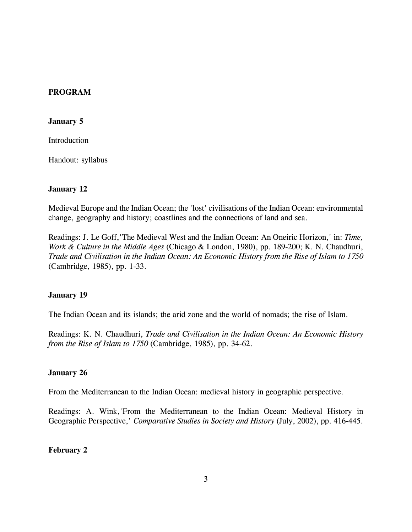## **PROGRAM**

#### **January 5**

**Introduction** 

Handout: syllabus

## **January 12**

Medieval Europe and the Indian Ocean; the 'lost' civilisations of the Indian Ocean: environmental change, geography and history; coastlines and the connections of land and sea.

Readings: J. Le Goff,'The Medieval West and the Indian Ocean: An Oneiric Horizon,' in: *Time, Work & Culture in the Middle Ages* (Chicago & London, 1980), pp. 189-200; K. N. Chaudhuri, *Trade and Civilisation in the Indian Ocean: An Economic History from the Rise of Islam to 1750* (Cambridge, 1985), pp. 1-33.

## **January 19**

The Indian Ocean and its islands; the arid zone and the world of nomads; the rise of Islam.

Readings: K. N. Chaudhuri, *Trade and Civilisation in the Indian Ocean: An Economic History from the Rise of Islam to 1750* (Cambridge, 1985), pp. 34-62.

## **January 26**

From the Mediterranean to the Indian Ocean: medieval history in geographic perspective.

Readings: A. Wink,'From the Mediterranean to the Indian Ocean: Medieval History in Geographic Perspective,' *Comparative Studies in Society and History* (July, 2002), pp. 416-445.

## **February 2**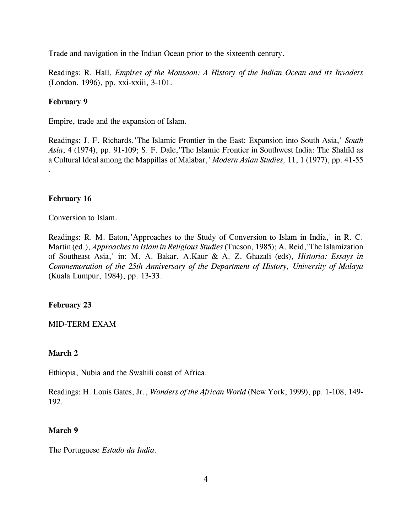Trade and navigation in the Indian Ocean prior to the sixteenth century.

Readings: R. Hall, *Empires of the Monsoon: A History of the Indian Ocean and its Invaders* (London, 1996), pp. xxi-xxiii, 3-101.

## **February 9**

Empire, trade and the expansion of Islam.

Readings: J. F. Richards,'The Islamic Frontier in the East: Expansion into South Asia,' *South* Asia, 4 (1974), pp. 91-109; S. F. Dale, The Islamic Frontier in Southwest India: The Shahīd as a Cultural Ideal among the Mappillas of Malabar,' *Modern Asian Studies,* 11, 1 (1977), pp. 41-55 .

## **February 16**

Conversion to Islam.

Readings: R. M. Eaton,'Approaches to the Study of Conversion to Islam in India,' in R. C. Martin (ed.), *Approaches to Islam in Religious Studies* (Tucson, 1985); A. Reid,'The Islamization of Southeast Asia,' in: M. A. Bakar, A.Kaur & A. Z. Ghazali (eds), *Historia: Essays in Commemoration of the 25th Anniversary of the Department of History, University of Malaya* (Kuala Lumpur, 1984), pp. 13-33.

## **February 23**

## MID-TERM EXAM

## **March 2**

Ethiopia, Nubia and the Swahili coast of Africa.

Readings: H. Louis Gates, Jr., *Wonders of the African World* (New York, 1999), pp. 1-108, 149- 192.

## **March 9**

The Portuguese *Estado da India.*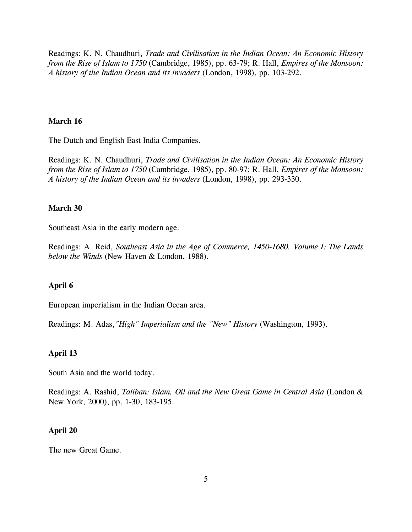Readings: K. N. Chaudhuri, *Trade and Civilisation in the Indian Ocean: An Economic History from the Rise of Islam to 1750* (Cambridge, 1985), pp. 63-79; R. Hall, *Empires of the Monsoon: A history of the Indian Ocean and its invaders* (London, 1998), pp. 103-292.

#### **March 16**

The Dutch and English East India Companies.

Readings: K. N. Chaudhuri, *Trade and Civilisation in the Indian Ocean: An Economic History from the Rise of Islam to 1750* (Cambridge, 1985), pp. 80-97; R. Hall, *Empires of the Monsoon: A history of the Indian Ocean and its invaders* (London, 1998), pp. 293-330.

## **March 30**

Southeast Asia in the early modern age.

Readings: A. Reid, *Southeast Asia in the Age of Commerce, 1450-1680, Volume I: The Lands below the Winds* (New Haven & London, 1988).

#### **April 6**

European imperialism in the Indian Ocean area.

Readings: M. Adas,*"High" Imperialism and the "New" History* (Washington, 1993).

#### **April 13**

South Asia and the world today.

Readings: A. Rashid, *Taliban: Islam, Oil and the New Great Game in Central Asia* (London & New York, 2000), pp. 1-30, 183-195.

#### **April 20**

The new Great Game.